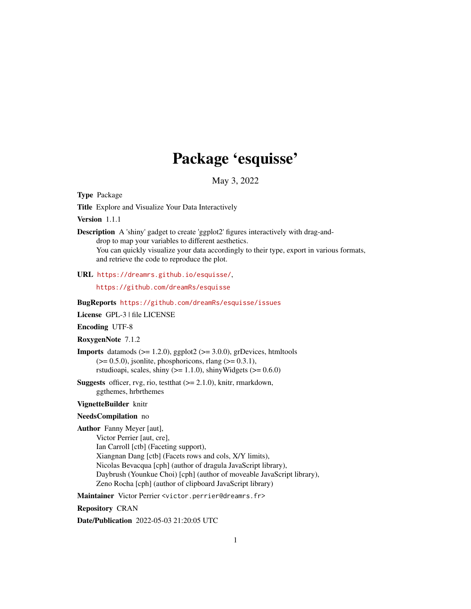# Package 'esquisse'

May 3, 2022

<span id="page-0-0"></span>Type Package

Title Explore and Visualize Your Data Interactively

Version 1.1.1

Description A 'shiny' gadget to create 'ggplot2' figures interactively with drag-anddrop to map your variables to different aesthetics. You can quickly visualize your data accordingly to their type, export in various formats, and retrieve the code to reproduce the plot.

URL <https://dreamrs.github.io/esquisse/>,

<https://github.com/dreamRs/esquisse>

BugReports <https://github.com/dreamRs/esquisse/issues>

License GPL-3 | file LICENSE

Encoding UTF-8

RoxygenNote 7.1.2

- **Imports** datamods  $(>= 1.2.0)$ , ggplot2  $(>= 3.0.0)$ , grDevices, htmltools  $(>= 0.5.0)$ , jsonlite, phosphoricons, rlang  $(>= 0.3.1)$ , rstudioapi, scales, shiny ( $>= 1.1.0$ ), shinyWidgets ( $>= 0.6.0$ )
- **Suggests** officer, rvg, rio, test that  $(>= 2.1.0)$ , knitr, rmarkdown, ggthemes, hrbrthemes

#### VignetteBuilder knitr

#### NeedsCompilation no

Author Fanny Meyer [aut],

- Victor Perrier [aut, cre],
- Ian Carroll [ctb] (Faceting support), Xiangnan Dang [ctb] (Facets rows and cols, X/Y limits), Nicolas Bevacqua [cph] (author of dragula JavaScript library), Daybrush (Younkue Choi) [cph] (author of moveable JavaScript library), Zeno Rocha [cph] (author of clipboard JavaScript library)

Maintainer Victor Perrier <victor.perrier@dreamrs.fr>

Repository CRAN

Date/Publication 2022-05-03 21:20:05 UTC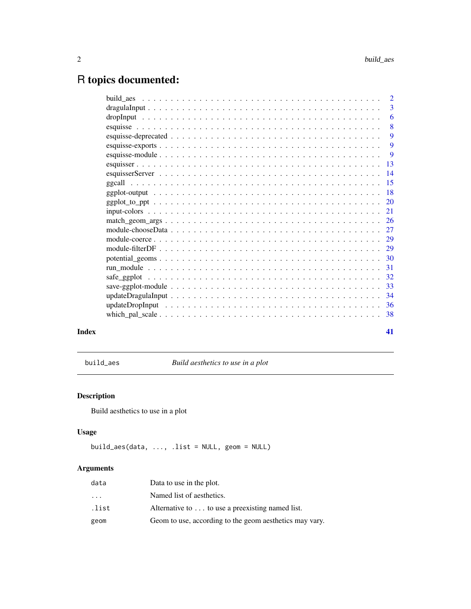## <span id="page-1-0"></span>R topics documented:

|  | $\overline{2}$ |
|--|----------------|
|  | 3              |
|  | 6              |
|  | 8              |
|  | 9              |
|  | 9              |
|  | -9             |
|  |                |
|  |                |
|  |                |
|  |                |
|  |                |
|  |                |
|  |                |
|  |                |
|  |                |
|  |                |
|  |                |
|  |                |
|  |                |
|  |                |
|  |                |
|  |                |
|  | 38             |
|  |                |
|  |                |

#### **Index** [41](#page-40-0)

build\_aes *Build aesthetics to use in a plot*

## Description

Build aesthetics to use in a plot

#### Usage

build\_aes(data, ..., .list = NULL, geom = NULL)

#### Arguments

| data      | Data to use in the plot.                                |
|-----------|---------------------------------------------------------|
| $\ddotsc$ | Named list of aesthetics.                               |
| .list     | Alternative to  to use a preexisting named list.        |
| geom      | Geom to use, according to the geom aesthetics may vary. |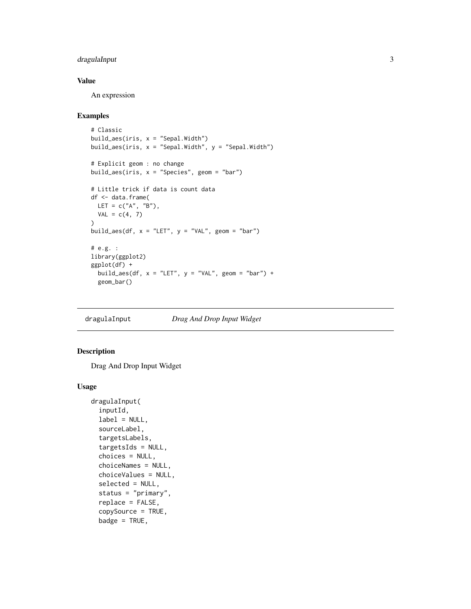#### <span id="page-2-0"></span>dragulaInput 3

#### Value

An expression

#### Examples

```
# Classic
build_aes(iris, x = "Sepal.Width")
build_aes(iris, x = "Sepal.Width", y = "Sepal.Width")
# Explicit geom : no change
build_aes(iris, x = "Species", geom = "bar")
# Little trick if data is count data
df <- data.frame(
 LET = c("A", "B"),
  VAL = c(4, 7)\mathcal{L}build_aes(df, x = "LET", y = "VAL", geom = "bar")
# e.g. :
library(ggplot2)
ggplot(df) +
  build_aes(df, x = "LET", y = "VAL", geom = "bar") +
  geom_bar()
```
<span id="page-2-1"></span>dragulaInput *Drag And Drop Input Widget*

#### Description

Drag And Drop Input Widget

```
dragulaInput(
  inputId,
  label = NULL,sourceLabel,
  targetsLabels,
  targetsIds = NULL,
  choices = NULL,
 choiceNames = NULL,
  choiceValues = NULL,
  selected = NULL,
  status = "primary",
  replace = FALSE,
  copySource = TRUE,
 badge = TRUE,
```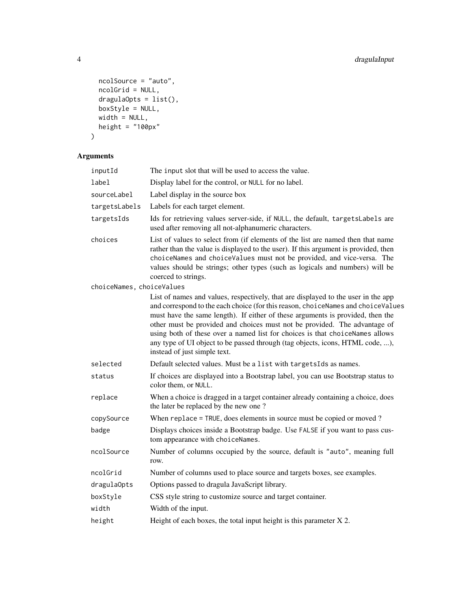```
ncolSource = "auto",
 ncolGrid = NULL,
  dragulaOpts = list(),
  boxStyle = NULL,
  width = NULL,
  height = "100px"
\mathcal{L}
```
## Arguments

| inputId                   | The input slot that will be used to access the value.                                                                                                                                                                                                                                                                                                                                                                                                                                                                                 |
|---------------------------|---------------------------------------------------------------------------------------------------------------------------------------------------------------------------------------------------------------------------------------------------------------------------------------------------------------------------------------------------------------------------------------------------------------------------------------------------------------------------------------------------------------------------------------|
| label                     | Display label for the control, or NULL for no label.                                                                                                                                                                                                                                                                                                                                                                                                                                                                                  |
| sourceLabel               | Label display in the source box                                                                                                                                                                                                                                                                                                                                                                                                                                                                                                       |
| targetsLabels             | Labels for each target element.                                                                                                                                                                                                                                                                                                                                                                                                                                                                                                       |
| targetsIds                | Ids for retrieving values server-side, if NULL, the default, targetsLabels are<br>used after removing all not-alphanumeric characters.                                                                                                                                                                                                                                                                                                                                                                                                |
| choices                   | List of values to select from (if elements of the list are named then that name<br>rather than the value is displayed to the user). If this argument is provided, then<br>choiceNames and choiceValues must not be provided, and vice-versa. The<br>values should be strings; other types (such as logicals and numbers) will be<br>coerced to strings.                                                                                                                                                                               |
| choiceNames, choiceValues |                                                                                                                                                                                                                                                                                                                                                                                                                                                                                                                                       |
|                           | List of names and values, respectively, that are displayed to the user in the app<br>and correspond to the each choice (for this reason, choiceNames and choiceValues<br>must have the same length). If either of these arguments is provided, then the<br>other must be provided and choices must not be provided. The advantage of<br>using both of these over a named list for choices is that choiceNames allows<br>any type of UI object to be passed through (tag objects, icons, HTML code, ),<br>instead of just simple text. |
| selected                  | Default selected values. Must be a list with targetsIds as names.                                                                                                                                                                                                                                                                                                                                                                                                                                                                     |
| status                    | If choices are displayed into a Bootstrap label, you can use Bootstrap status to<br>color them, or NULL.                                                                                                                                                                                                                                                                                                                                                                                                                              |
| replace                   | When a choice is dragged in a target container already containing a choice, does<br>the later be replaced by the new one?                                                                                                                                                                                                                                                                                                                                                                                                             |
| copySource                | When replace = TRUE, does elements in source must be copied or moved ?                                                                                                                                                                                                                                                                                                                                                                                                                                                                |
| badge                     | Displays choices inside a Bootstrap badge. Use FALSE if you want to pass cus-<br>tom appearance with choiceNames.                                                                                                                                                                                                                                                                                                                                                                                                                     |
| ncolSource                | Number of columns occupied by the source, default is "auto", meaning full<br>row.                                                                                                                                                                                                                                                                                                                                                                                                                                                     |
| ncolGrid                  | Number of columns used to place source and targets boxes, see examples.                                                                                                                                                                                                                                                                                                                                                                                                                                                               |
| dragulaOpts               | Options passed to dragula JavaScript library.                                                                                                                                                                                                                                                                                                                                                                                                                                                                                         |
| boxStyle                  | CSS style string to customize source and target container.                                                                                                                                                                                                                                                                                                                                                                                                                                                                            |
| width                     | Width of the input.                                                                                                                                                                                                                                                                                                                                                                                                                                                                                                                   |
| height                    | Height of each boxes, the total input height is this parameter $X$ 2.                                                                                                                                                                                                                                                                                                                                                                                                                                                                 |
|                           |                                                                                                                                                                                                                                                                                                                                                                                                                                                                                                                                       |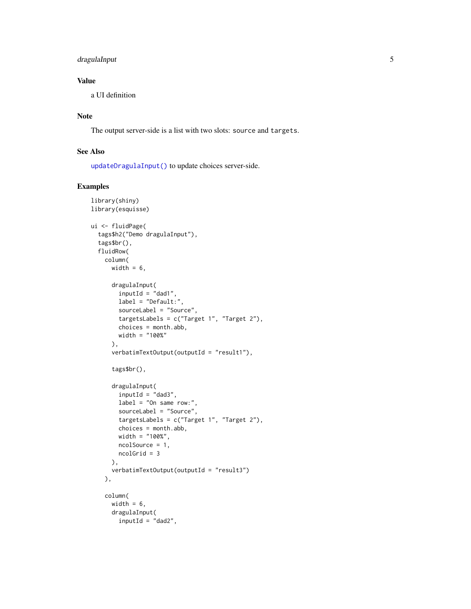#### <span id="page-4-0"></span>dragulaInput 5

#### Value

a UI definition

#### Note

The output server-side is a list with two slots: source and targets.

#### See Also

[updateDragulaInput\(\)](#page-33-1) to update choices server-side.

```
library(shiny)
library(esquisse)
ui <- fluidPage(
  tags$h2("Demo dragulaInput"),
  tags$br(),
  fluidRow(
   column(
      width = 6,
      dragulaInput(
       inputId = "dad1",
       label = "Default:",
       sourceLabel = "Source",
       targetsLabels = c("Target 1", "Target 2"),
       choices = month.abb,
       width = "100%"
      ),
      verbatimTextOutput(outputId = "result1"),
      tags$br(),
      dragulaInput(
       inputId = "dad3",label = "On same row:",
       sourceLabel = "Source",
       targetsLabels = c("Target 1", "Target 2"),
       choices = month.abb,
       width = "100%",
       ncolSource = 1,
       ncolGrid = 3
      ),
      verbatimTextOutput(outputId = "result3")
   ),
   column(
      width = 6,
     dragulaInput(
       inputId = "dad2",
```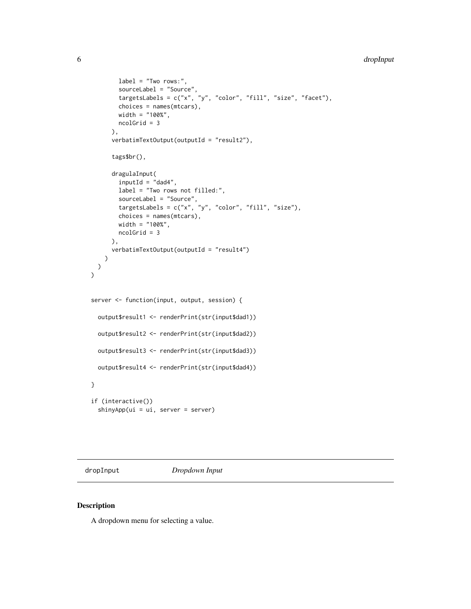```
label = "Two rows: "sourceLabel = "Source",
        targetsLabels = c("x", "y", "color", "fill", "size", "face", "fchoices = names(mtcars),
        width = "100%",
        ncolGrid = 3
      ),
      verbatimTextOutput(outputId = "result2"),
      tags$br(),
      dragulaInput(
        inputId = "dad4",label = "Two rows not filled:",
        sourceLabel = "Source",
       targetsLabels = c("x", "y", "color", "fill", "size"),choices = names(mtcars),
        width = "100%",
       ncolGrid = 3
     ),
      verbatimTextOutput(outputId = "result4")
   \lambda)
)
server <- function(input, output, session) {
  output$result1 <- renderPrint(str(input$dad1))
  output$result2 <- renderPrint(str(input$dad2))
  output$result3 <- renderPrint(str(input$dad3))
  output$result4 <- renderPrint(str(input$dad4))
}
if (interactive())
  shinyApp(ui = ui, server = server)
```
<span id="page-5-1"></span>dropInput *Dropdown Input*

#### Description

A dropdown menu for selecting a value.

<span id="page-5-0"></span>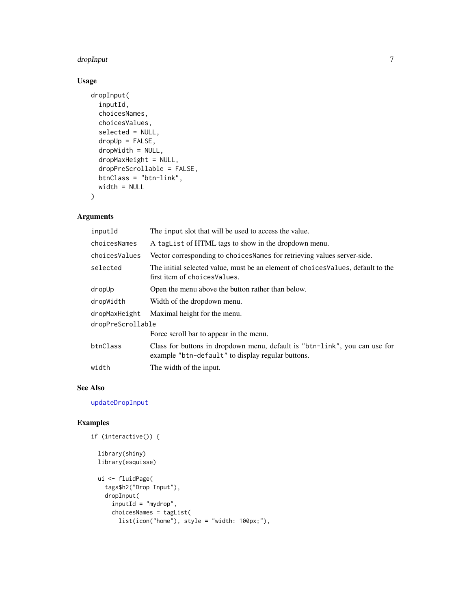#### <span id="page-6-0"></span>dropInput 7 and 2012 12:00 to 2012 12:00 to 2012 12:00 12:00 12:00 12:00 12:00 12:00 12:00 12:00 12:00 12:00 1

#### Usage

```
dropInput(
  inputId,
  choicesNames,
  choicesValues,
  selected = NULL,
  dropUp = FALSE,
  dropWidth = NULL,
  dropMaxHeight = NULL,
  dropPreScrollable = FALSE,
 btnClass = "btn-link",
 width = NULL
\mathcal{L}
```
#### Arguments

| inputId           | The input slot that will be used to access the value.                                                                           |  |
|-------------------|---------------------------------------------------------------------------------------------------------------------------------|--|
| choicesNames      | A taglist of HTML tags to show in the dropdown menu.                                                                            |  |
| choicesValues     | Vector corresponding to choices Names for retrieving values server-side.                                                        |  |
| selected          | The initial selected value, must be an element of choices Values, default to the<br>first item of choices Values.               |  |
| dropUp            | Open the menu above the button rather than below.                                                                               |  |
| dropWidth         | Width of the dropdown menu.                                                                                                     |  |
| dropMaxHeight     | Maximal height for the menu.                                                                                                    |  |
| dropPreScrollable |                                                                                                                                 |  |
|                   | Force scroll bar to appear in the menu.                                                                                         |  |
| btnClass          | Class for buttons in dropdown menu, default is "btn-link", you can use for<br>example "btn-default" to display regular buttons. |  |
| width             | The width of the input.                                                                                                         |  |

#### See Also

[updateDropInput](#page-35-1)

```
if (interactive()) {
```

```
library(shiny)
library(esquisse)
```

```
ui <- fluidPage(
 tags$h2("Drop Input"),
 dropInput(
    inputId = "mydrop",
    choicesNames = tagList(
     list(icon("home"), style = "width: 100px;"),
```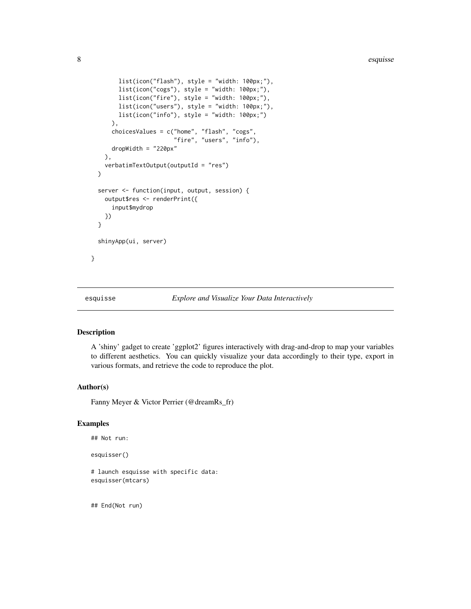```
list(icon("flash"), style = "width: 100px;"),
      list(icon("cogs"), style = "width: 100px;"),
      list(icon("fire"), style = "width: 100px;"),
      list(icon("users"), style = "width: 100px;"),
      list(icon("info"), style = "width: 100px;")
    ),
    choicesValues = c("home", "flash", "cogs",
                      "fire", "users", "info"),
    dropWidth = "220px"),
  verbatimTextOutput(outputId = "res")
\lambdaserver <- function(input, output, session) {
  output$res <- renderPrint({
    input$mydrop
  })
}
shinyApp(ui, server)
```
}

esquisse *Explore and Visualize Your Data Interactively*

#### Description

A 'shiny' gadget to create 'ggplot2' figures interactively with drag-and-drop to map your variables to different aesthetics. You can quickly visualize your data accordingly to their type, export in various formats, and retrieve the code to reproduce the plot.

#### Author(s)

Fanny Meyer & Victor Perrier (@dreamRs\_fr)

#### Examples

```
## Not run:
```
esquisser()

# launch esquisse with specific data: esquisser(mtcars)

## End(Not run)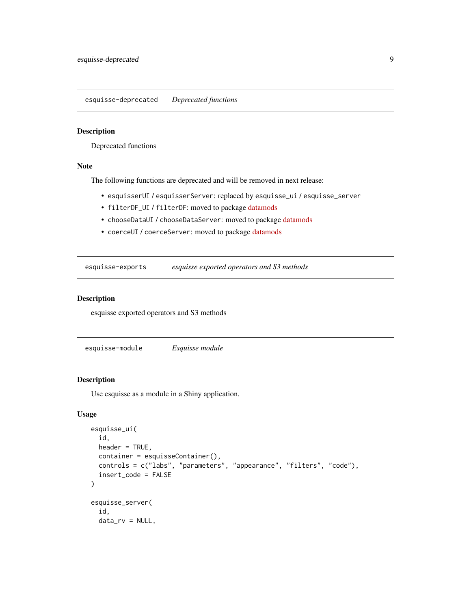<span id="page-8-0"></span>esquisse-deprecated *Deprecated functions*

#### Description

Deprecated functions

#### Note

The following functions are deprecated and will be removed in next release:

- esquisserUI / esquisserServer: replaced by esquisse\_ui / esquisse\_server
- filterDF\_UI / filterDF: moved to package [datamods](https://github.com/dreamRs/datamods)
- chooseDataUI / chooseDataServer: moved to package [datamods](https://github.com/dreamRs/datamods)
- coerceUI / coerceServer: moved to package [datamods](https://github.com/dreamRs/datamods)

esquisse-exports *esquisse exported operators and S3 methods*

#### Description

esquisse exported operators and S3 methods

<span id="page-8-1"></span>esquisse-module *Esquisse module*

#### Description

Use esquisse as a module in a Shiny application.

```
esquisse_ui(
  id,
  header = TRUE,
  container = esquisseContainer(),
  controls = c("labs", "parameters", "appearance", "filters", "code"),
  insert_code = FALSE
)
esquisse_server(
  id,
  data_rv = NULL,
```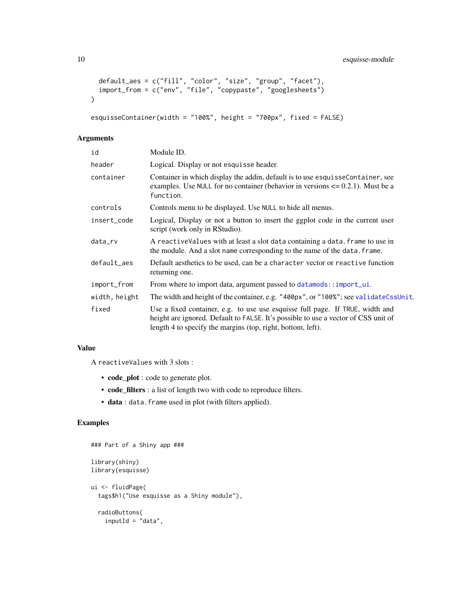```
default_aes = c("fill", "color", "size", "group", "facet"),
 import_from = c("env", "file", "copypaste", "googlesheets")
\lambda
```

```
esquisseContainer(width = "100%", height = "700px", fixed = FALSE)
```
#### Arguments

| id            | Module ID.                                                                                                                                                                                                                         |
|---------------|------------------------------------------------------------------------------------------------------------------------------------------------------------------------------------------------------------------------------------|
| header        | Logical. Display or not esquisse header.                                                                                                                                                                                           |
| container     | Container in which display the addin, default is to use esquisse Container, see<br>examples. Use NULL for no container (behavior in versions $\leq 0.2.1$ ). Must be a<br>function.                                                |
| controls      | Controls menu to be displayed. Use NULL to hide all menus.                                                                                                                                                                         |
| insert_code   | Logical, Display or not a button to insert the ggplot code in the current user<br>script (work only in RStudio).                                                                                                                   |
| data_rv       | A reactiveValues with at least a slot data containing a data. frame to use in<br>the module. And a slot name corresponding to the name of the data. frame.                                                                         |
| default_aes   | Default aesthetics to be used, can be a character vector or reactive function<br>returning one.                                                                                                                                    |
| import_from   | From where to import data, argument passed to datamods::import_ui.                                                                                                                                                                 |
| width, height | The width and height of the container, e.g. "400px", or "100%"; see validateCssUnit.                                                                                                                                               |
| fixed         | Use a fixed container, e.g. to use use esquisse full page. If TRUE, width and<br>height are ignored. Default to FALSE. It's possible to use a vector of CSS unit of<br>length 4 to specify the margins (top, right, bottom, left). |

#### Value

A reactiveValues with 3 slots :

- code\_plot : code to generate plot.
- code\_filters : a list of length two with code to reproduce filters.
- data : data.frame used in plot (with filters applied).

```
### Part of a Shiny app ###
library(shiny)
library(esquisse)
ui <- fluidPage(
  tags$h1("Use esquisse as a Shiny module"),
  radioButtons(
   inputId = "data",
```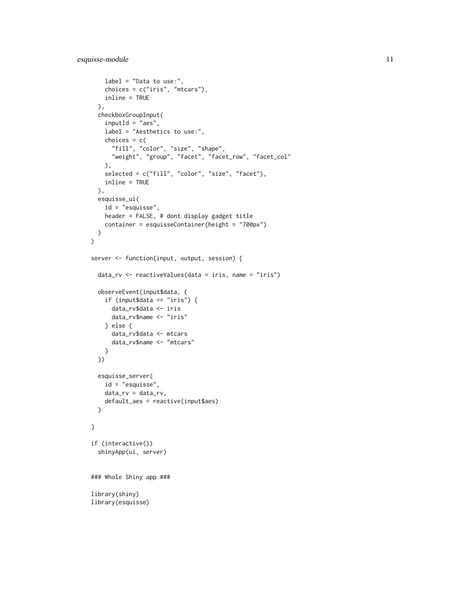```
label = "Data to use:",
    choices = c("iris", "mtcars"),
   inline = TRUE
  ),
  checkboxGroupInput(
   inputId = "aes",label = "Aesthetics to use:",
   choices = c("fill", "color", "size", "shape",
      "weight", "group", "facet", "facet_row", "facet_col"
   ),
   selected = c("fill", "color", "size", "facet"),
   inline = TRUE
  ),
  esquisse_ui(
   id = "esquisse",
   header = FALSE, # dont display gadget title
   container = esquisseContainer(height = "700px")
  )
)
server <- function(input, output, session) {
  data_rv <- reactiveValues(data = iris, name = "iris")
  observeEvent(input$data, {
   if (input$data == "iris") {
      data_rv$data <- iris
      data_rv$name <- "iris"
   } else {
     data_rv$data <- mtcars
      data_rv$name <- "mtcars"
   }
  })
  esquisse_server(
   id = "esquisse",
   data_rv = data_rv,
    default_aes = reactive(input$aes)
  \lambda}
if (interactive())
  shinyApp(ui, server)
### Whole Shiny app ###
library(shiny)
library(esquisse)
```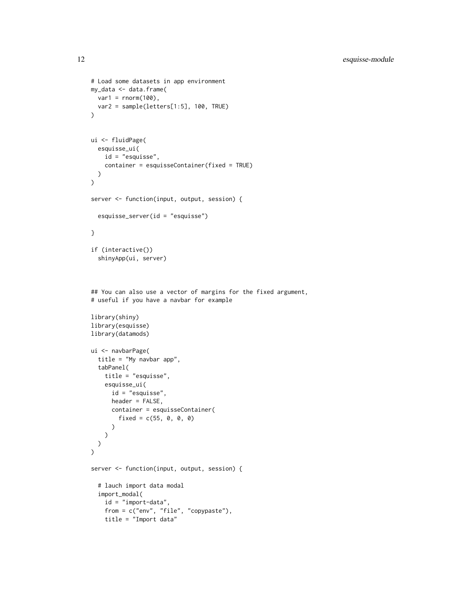```
# Load some datasets in app environment
my_data <- data.frame(
 var1 = rnorm(100),
 var2 = sample(letters[1:5], 100, TRUE)
)
ui <- fluidPage(
  esquisse_ui(
    id = "esquisse",
    container = esquisseContainer(fixed = TRUE)
  )
\mathcal{L}server <- function(input, output, session) {
  esquisse_server(id = "esquisse")
}
if (interactive())
  shinyApp(ui, server)
## You can also use a vector of margins for the fixed argument,
# useful if you have a navbar for example
library(shiny)
library(esquisse)
library(datamods)
ui <- navbarPage(
  title = "My navbar app",
  tabPanel(
    title = "esquisse",
    esquisse_ui(
      id = "esquisse",
      header = FALSE,
      container = esquisseContainer(
        fixed = c(55, 0, 0, 0))
    )
 )
\lambdaserver <- function(input, output, session) {
  # lauch import data modal
  import_modal(
    id = "import-data",
    from = c("env", "file", "copypaste"),
    title = "Import data"
```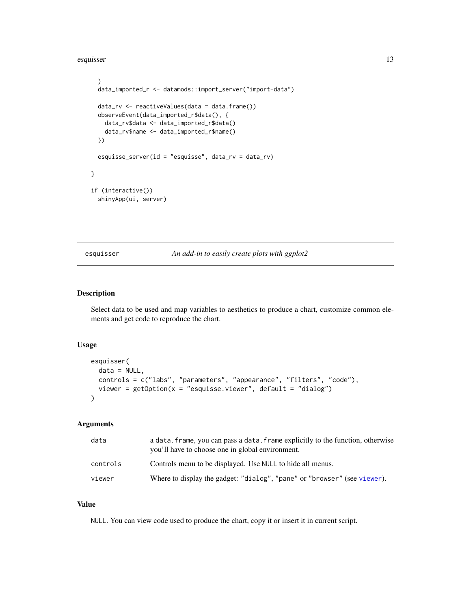<span id="page-12-0"></span>esquisser and the set of the set of the set of the set of the set of the set of the set of the set of the set of the set of the set of the set of the set of the set of the set of the set of the set of the set of the set of

```
)
 data_imported_r <- datamods::import_server("import-data")
 data_rv <- reactiveValues(data = data.frame())
 observeEvent(data_imported_r$data(), {
   data_rv$data <- data_imported_r$data()
   data_rv$name <- data_imported_r$name()
 })
 esquisse_server(id = "esquisse", data_rv = data_rv)
}
if (interactive())
 shinyApp(ui, server)
```
esquisser *An add-in to easily create plots with ggplot2*

#### Description

Select data to be used and map variables to aesthetics to produce a chart, customize common elements and get code to reproduce the chart.

#### Usage

```
esquisser(
 data = NULL,
 controls = c("labs", "parameters", "appearance", "filters", "code"),
 viewer = getOption(x = "esquisse.viewer", default = "dialog")
)
```
#### Arguments

| data     | a data, frame, you can pass a data, frame explicitly to the function, otherwise<br>you'll have to choose one in global environment. |
|----------|-------------------------------------------------------------------------------------------------------------------------------------|
| controls | Controls menu to be displayed. Use NULL to hide all menus.                                                                          |
| viewer   | Where to display the gadget: "dialog", "pane" or "browser" (see viewer).                                                            |

#### Value

NULL. You can view code used to produce the chart, copy it or insert it in current script.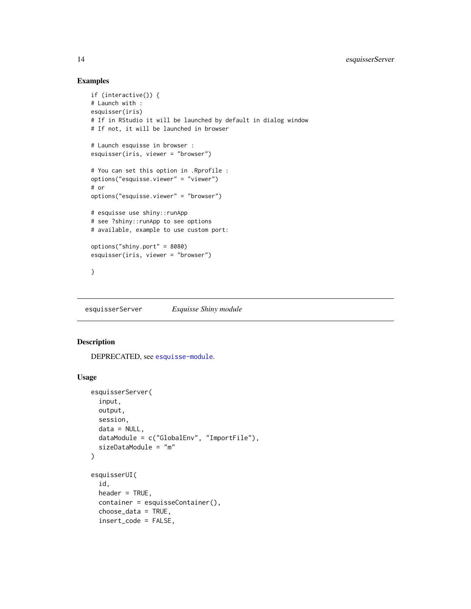#### Examples

```
if (interactive()) {
# Launch with :
esquisser(iris)
# If in RStudio it will be launched by default in dialog window
# If not, it will be launched in browser
# Launch esquisse in browser :
esquisser(iris, viewer = "browser")
# You can set this option in .Rprofile :
options("esquisse.viewer" = "viewer")
# or
options("esquisse.viewer" = "browser")
# esquisse use shiny::runApp
# see ?shiny::runApp to see options
# available, example to use custom port:
options("shiny.port" = 8080)
esquisser(iris, viewer = "browser")
}
```
esquisserServer *Esquisse Shiny module*

#### **Description**

DEPRECATED, see [esquisse-module](#page-8-1).

```
esquisserServer(
  input,
 output,
 session,
 data = NULL,dataModule = c("GlobalEnv", "ImportFile"),
  sizeDataModule = "m"
)
esquisserUI(
  id,
 header = TRUE,
 container = esquisseContainer(),
  choose_data = TRUE,
  insert_code = FALSE,
```
<span id="page-13-0"></span>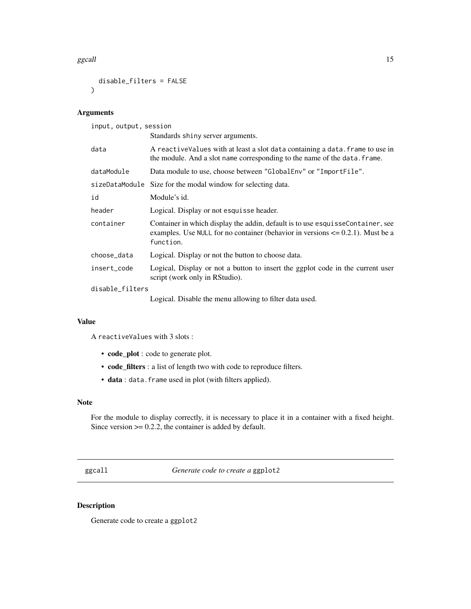#### <span id="page-14-0"></span>ggcall and the set of the set of the set of the set of the set of the set of the set of the set of the set of the set of the set of the set of the set of the set of the set of the set of the set of the set of the set of th

```
disable_filters = FALSE
)
```
#### Arguments

input, output, session

|                 | Standards shiny server arguments.                                                                                                                                                   |  |
|-----------------|-------------------------------------------------------------------------------------------------------------------------------------------------------------------------------------|--|
| data            | A reactive Values with at least a slot data containing a data. frame to use in<br>the module. And a slot name corresponding to the name of the data. frame.                         |  |
| dataModule      | Data module to use, choose between "GlobalEnv" or "ImportFile".                                                                                                                     |  |
|                 | sizeDataModule Size for the modal window for selecting data.                                                                                                                        |  |
| id              | Module's id.                                                                                                                                                                        |  |
| header          | Logical. Display or not esquisse header.                                                                                                                                            |  |
| container       | Container in which display the addin, default is to use esquisse Container, see<br>examples. Use NULL for no container (behavior in versions $\leq 0.2.1$ ). Must be a<br>function. |  |
| choose_data     | Logical. Display or not the button to choose data.                                                                                                                                  |  |
| insert_code     | Logical, Display or not a button to insert the ggplot code in the current user<br>script (work only in RStudio).                                                                    |  |
| disable_filters |                                                                                                                                                                                     |  |
|                 | Logical. Disable the menu allowing to filter data used.                                                                                                                             |  |

#### Value

A reactiveValues with 3 slots :

- code\_plot : code to generate plot.
- code\_filters : a list of length two with code to reproduce filters.
- data : data.frame used in plot (with filters applied).

#### Note

For the module to display correctly, it is necessary to place it in a container with a fixed height. Since version  $> = 0.2.2$ , the container is added by default.

ggcall *Generate code to create a* ggplot2

#### Description

Generate code to create a ggplot2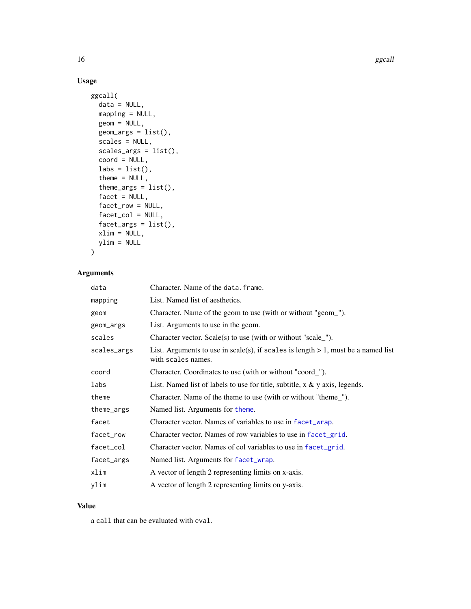16 ggcall and the state of the state of the state of the state of the state of the state of the state of the state of the state of the state of the state of the state of the state of the state of the state of the state of

#### Usage

```
ggcall(
 data = NULL,
 mapping = NULL,
 geom = NULL,
 geom_{args} = list(),
  scales = NULL,
  scales_args = list(),
  coord = NULL,
  \text{labs} = \text{list}(),
  theme = NULL,
  thene_{args} = list(),
  facet = NULL,facet_row = NULL,
  facet_col = NULL,
  factor_{args} = list(),
 xlim = NULL,
 ylim = NULL
)
```
#### Arguments

| data        | Character. Name of the data. frame.                                                                        |
|-------------|------------------------------------------------------------------------------------------------------------|
| mapping     | List. Named list of aesthetics.                                                                            |
| geom        | Character. Name of the geom to use (with or without "geom_").                                              |
| geom_args   | List. Arguments to use in the geom.                                                                        |
| scales      | Character vector. Scale(s) to use (with or without "scale_").                                              |
| scales_args | List. Arguments to use in scale(s), if scales is length $> 1$ , must be a named list<br>with scales names. |
| coord       | Character. Coordinates to use (with or without "coord_").                                                  |
| labs        | List. Named list of labels to use for title, subtitle, $x \& y$ axis, legends.                             |
| theme       | Character. Name of the theme to use (with or without "theme_").                                            |
| theme_args  | Named list. Arguments for theme.                                                                           |
| facet       | Character vector. Names of variables to use in facet_wrap.                                                 |
| facet_row   | Character vector. Names of row variables to use in facet_grid.                                             |
| facet_col   | Character vector. Names of col variables to use in facet_grid.                                             |
| facet_args  | Named list. Arguments for facet_wrap.                                                                      |
| xlim        | A vector of length 2 representing limits on x-axis.                                                        |
| ylim        | A vector of length 2 representing limits on y-axis.                                                        |
|             |                                                                                                            |

#### Value

a call that can be evaluated with eval.

<span id="page-15-0"></span>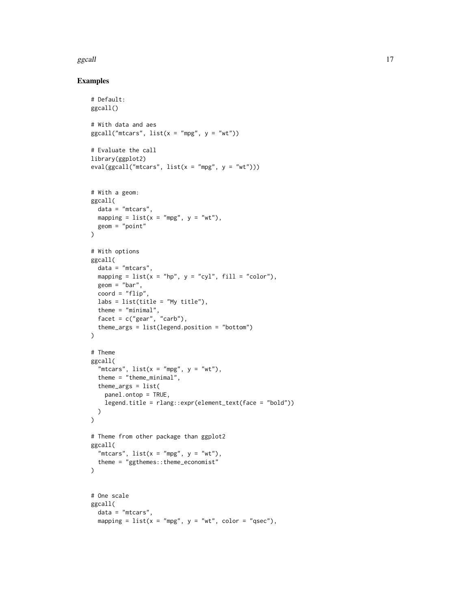#### ggcall and the set of the set of the set of the set of the set of the set of the set of the set of the set of the set of the set of the set of the set of the set of the set of the set of the set of the set of the set of th

```
# Default:
ggcall()
# With data and aes
ggcall("mtcars", list(x = "mpg", y = "wt"))# Evaluate the call
library(ggplot2)
eval(ggcall("mtcars", list(x = "mpg", y = "wt")))
# With a geom:
ggcall(
 data = "mtcars",
 mapping = list(x = "mpg", y = "wt"),
  geom = "point"
\lambda# With options
ggcall(
 data = "mtcars",
 mapping = list(x = "hp", y = "cyl", fill = "color"),geom = "bar",
 coord = "flip",
 \text{labels} = \text{list}(\text{title} = \text{"My title"}),theme = "minimal",
  facet = c("gear", "carb"),theme_args = list(legend.position = "bottom")
\lambda# Theme
ggcall(
  "mtcars", list(x = "mpg", y = "wt"),
  theme = "theme_minimal",
 theme_args = list(
    panel.ontop = TRUE,
    legend.title = rlang::expr(element_text(face = "bold"))
  )
\lambda# Theme from other package than ggplot2
ggcall(
  "mtcars", list(x = "mpg", y = "wt"),
  theme = "ggthemes::theme_economist"
\lambda# One scale
ggcall(
  data = "mtcars",
 mapping = list(x = "mpg", y = "wt", color = "qsec"),
```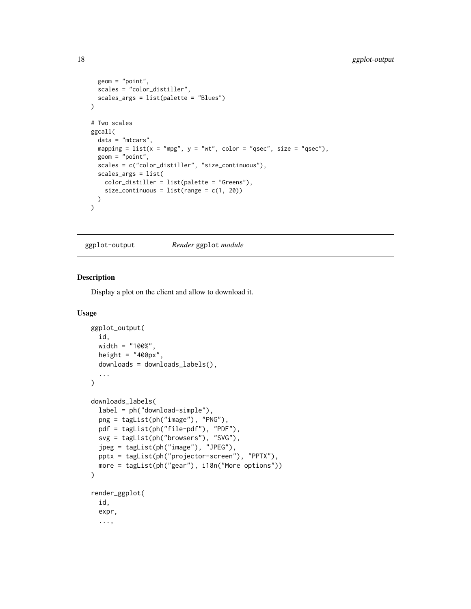```
geom = "point",
  scales = "color_distiller",
  scales_args = list(palette = "Blues")
\lambda# Two scales
ggcall(
  data = "mtcars",
 mapping = list(x = "mpg", y = "wt", color = "qsec", size = "qsec"),geom = "point",
  scales = c("color_distiller", "size_continuous"),
  scales_args = list(
    color_distiller = list(palette = "Greens"),
    size_{\text{continuous}} = list(range = c(1, 20)))
)
```
ggplot-output *Render* ggplot *module*

#### Description

Display a plot on the client and allow to download it.

```
ggplot_output(
  id,
 width = "100%",
 height = "400px",
  downloads = downloads_labels(),
  ...
)
downloads_labels(
  label = ph("download-simple"),
  png = tagList(ph("image"), "PNG"),
 pdf = tagList(ph("file-pdf"), "PDF"),
  svg = tagList(ph("browsers"), "SVG"),
  jpeg = tagList(ph("image"), "JPEG"),
 pptx = tagList(ph("projector-screen"), "PPTX"),
 more = tagList(ph("gear"), i18n("More options"))
\lambdarender_ggplot(
  id,
  expr,
  ...,
```
<span id="page-17-0"></span>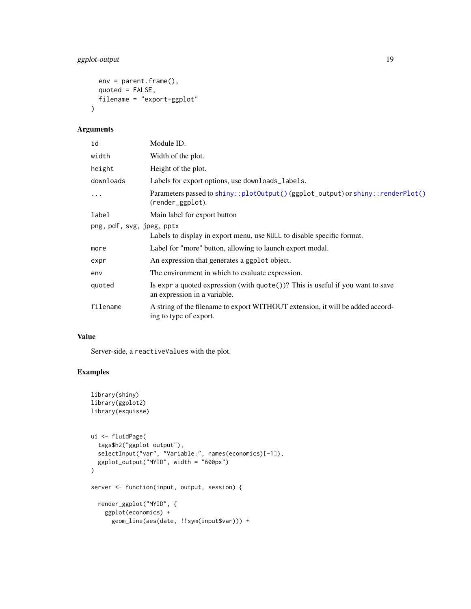#### <span id="page-18-0"></span>ggplot-output 19

```
env = parent.Fname(),quoted = FALSE,filename = "export-ggplot"
\mathcal{L}
```
#### Arguments

| id                        | Module ID.                                                                                                               |
|---------------------------|--------------------------------------------------------------------------------------------------------------------------|
| width                     | Width of the plot.                                                                                                       |
| height                    | Height of the plot.                                                                                                      |
| downloads                 | Labels for export options, use downloads_labels.                                                                         |
| $\ddots$                  | Parameters passed to shiny::plot0utput()(ggplot_output) or shiny::renderPlot()<br>(render_ggplot).                       |
| label                     | Main label for export button                                                                                             |
| png, pdf, svg, jpeg, pptx |                                                                                                                          |
|                           | Labels to display in export menu, use NULL to disable specific format.                                                   |
| more                      | Label for "more" button, allowing to launch export modal.                                                                |
| expr                      | An expression that generates a ggplot object.                                                                            |
| env                       | The environment in which to evaluate expression.                                                                         |
| quoted                    | Is expr a quoted expression (with $\text{quote}()$ )? This is useful if you want to save<br>an expression in a variable. |
| filename                  | A string of the filename to export WITHOUT extension, it will be added accord-<br>ing to type of export.                 |

#### Value

Server-side, a reactiveValues with the plot.

```
library(shiny)
library(ggplot2)
library(esquisse)
ui <- fluidPage(
  tags$h2("ggplot output"),
  selectInput("var", "Variable:", names(economics)[-1]),
  ggplot_output("MYID", width = "600px")
\overline{\phantom{a}}server <- function(input, output, session) {
  render_ggplot("MYID", {
    ggplot(economics) +
      geom_line(aes(date, !!sym(input$var))) +
```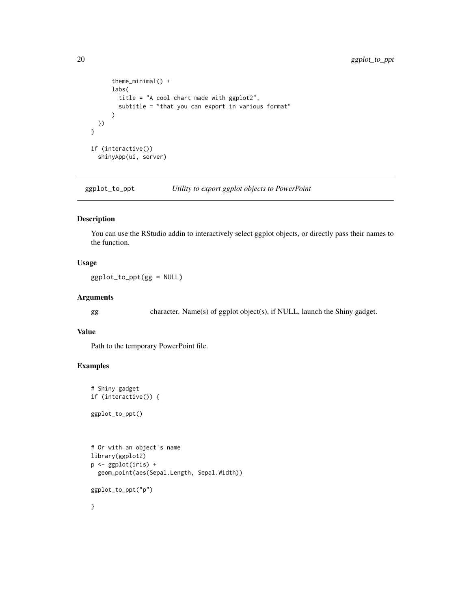```
theme_minimal() +
      labs(
        title = "A cool chart made with ggplot2",
        subtitle = "that you can export in various format"
      )
 })
}
if (interactive())
  shinyApp(ui, server)
```
ggplot\_to\_ppt *Utility to export ggplot objects to PowerPoint*

#### Description

You can use the RStudio addin to interactively select ggplot objects, or directly pass their names to the function.

#### Usage

ggplot\_to\_ppt(gg = NULL)

#### Arguments

gg character. Name(s) of ggplot object(s), if NULL, launch the Shiny gadget.

#### Value

Path to the temporary PowerPoint file.

```
# Shiny gadget
if (interactive()) {
ggplot_to_ppt()
# Or with an object's name
library(ggplot2)
p <- ggplot(iris) +
  geom_point(aes(Sepal.Length, Sepal.Width))
ggplot_to_ppt("p")
}
```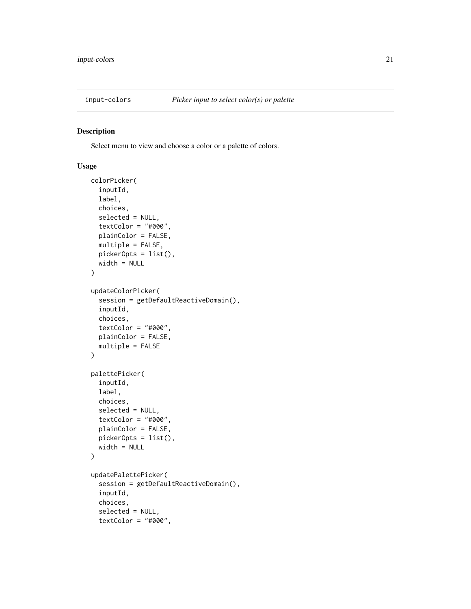<span id="page-20-0"></span>

#### Description

Select menu to view and choose a color or a palette of colors.

```
colorPicker(
  inputId,
  label,
  choices,
  selected = NULL,
  textColor = "#000",plainColor = FALSE,
 multiple = FALSE,
 pickerOpts = list(),
 width = NULL
)
updateColorPicker(
  session = getDefaultReactiveDomain(),
  inputId,
  choices,
  textColor = "#000",plainColor = FALSE,
 multiple = FALSE
)
palettePicker(
  inputId,
  label,
  choices,
  selected = NULL,
  textColor = "#000",plainColor = FALSE,
 pickerOpts = list(),
  width = NULL
)
updatePalettePicker(
  session = getDefaultReactiveDomain(),
  inputId,
  choices,
  selected = NULL,
  textColor = "#000",
```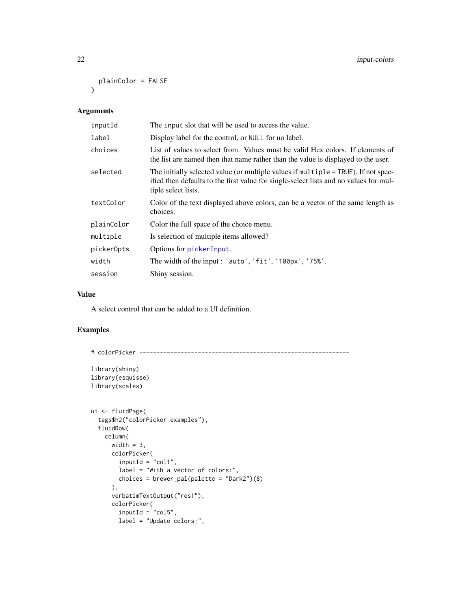```
plainColor = FALSE
\lambda
```
#### Arguments

| inputId    | The input slot that will be used to access the value.                                                                                                                                              |
|------------|----------------------------------------------------------------------------------------------------------------------------------------------------------------------------------------------------|
| label      | Display label for the control, or NULL for no label.                                                                                                                                               |
| choices    | List of values to select from. Values must be valid Hex colors. If elements of<br>the list are named then that name rather than the value is displayed to the user.                                |
| selected   | The initially selected value (or multiple values if multiple = TRUE). If not spec-<br>ified then defaults to the first value for single-select lists and no values for mul-<br>tiple select lists. |
| textColor  | Color of the text displayed above colors, can be a vector of the same length as<br>choices.                                                                                                        |
| plainColor | Color the full space of the choice menu.                                                                                                                                                           |
| multiple   | Is selection of multiple items allowed?                                                                                                                                                            |
| picker0pts | Options for pickerInput.                                                                                                                                                                           |
| width      | The width of the input: 'auto', 'fit', '100px', '75%'.                                                                                                                                             |
| session    | Shiny session.                                                                                                                                                                                     |
|            |                                                                                                                                                                                                    |

#### Value

A select control that can be added to a UI definition.

```
# colorPicker -------------------------------------------------------------
library(shiny)
library(esquisse)
library(scales)
ui <- fluidPage(
  tags$h2("colorPicker examples"),
  fluidRow(
   column(
     width = 3,
      colorPicker(
       inputId = "coll",label = "With a vector of colors:",
       choices = brewer_pal(palette = "Dark2")(8)
      ),
      verbatimTextOutput("res1"),
      colorPicker(
       inputId = "col5",label = "Update colors:",
```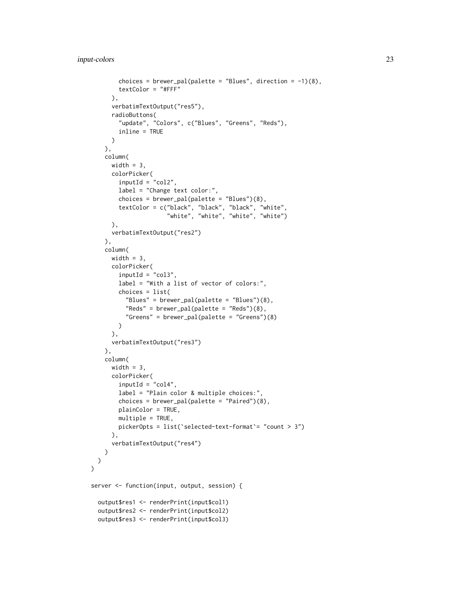```
choices = brewer_pal(palette = "Blues", direction = -1)(8),
       textColor = "#FFF"
     ),
     verbatimTextOutput("res5"),
     radioButtons(
        "update", "Colors", c("Blues", "Greens", "Reds"),
       inline = TRUE
     )
   ),
   column(
     width = 3,
     colorPicker(
       inputId = "col2",label = "Change text color:",
       choices = brewer_pal(palette = "Blues")(8),
        textColor = c("black", "black", "black", "white",
                      "white", "white", "white", "white")
     ),
     verbatimTextOutput("res2")
   ),
   column(
     width = 3,
     colorPicker(
       inputId = "col3",label = "With a list of vector of colors:",
       choices = list(
         "Blues" = brewer_pal(palette = "Blues")(8),
          "Reds" = brewer_pal(palette = "Reds")(8),
          "Greens" = brewer_pal(palette = "Greens")(8)
       )
     ),
     verbatimTextOutput("res3")
   ),
   column(
     width = 3,
     colorPicker(
       inputId = "col4",label = "Plain color & multiple choices:",
       choices = brewer_pal(palette = "Paired")(8),
       plainColor = TRUE,
       multiple = TRUE,
       pickerOpts = list(`selected-text-format`= "count > 3")
     ),
     verbatimTextOutput("res4")
   )
 )
\mathcal{L}server <- function(input, output, session) {
 output$res1 <- renderPrint(input$col1)
 output$res2 <- renderPrint(input$col2)
 output$res3 <- renderPrint(input$col3)
```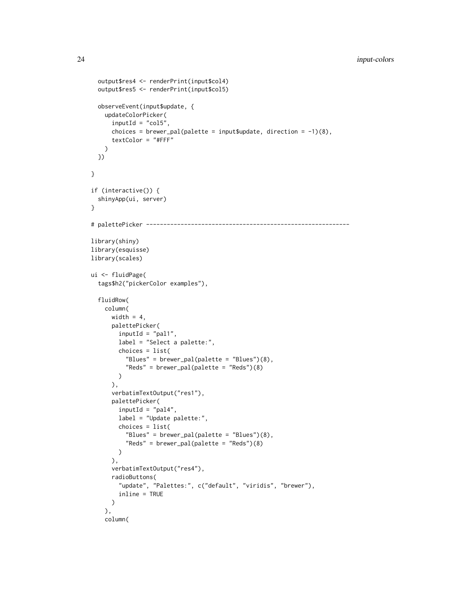```
output$res4 <- renderPrint(input$col4)
  output$res5 <- renderPrint(input$col5)
  observeEvent(input$update, {
   updateColorPicker(
      inputId = "col5",choices = brewer_pal(palette = input$update, direction = -1)(8),
      textColor = "#FFF"
   \lambda})
}
if (interactive()) {
  shinyApp(ui, server)
}
# palettePicker -----------------------------------------------------------
library(shiny)
library(esquisse)
library(scales)
ui <- fluidPage(
  tags$h2("pickerColor examples"),
  fluidRow(
   column(
      width = 4,
      palettePicker(
       inputId = "pal1",
        label = "Select a palette:",
        choices = list(
          "Blues" = brewer_pal(palette = "Blues")(8),
          "Reds" = brewer_pal(palette = "Reds")(8)
       )
      ),
      verbatimTextOutput("res1"),
      palettePicker(
        inputId = "pal4",label = "Update palette:",
        choices = list(
          "Blues" = brewer_pal(palette = "Blues")(8),
          "Reds" = brewer_pal(palette = "Reds")(8)
        )
      ),
      verbatimTextOutput("res4"),
      radioButtons(
        "update", "Palettes:", c("default", "viridis", "brewer"),
        inline = TRUE
      )
    ),
    column(
```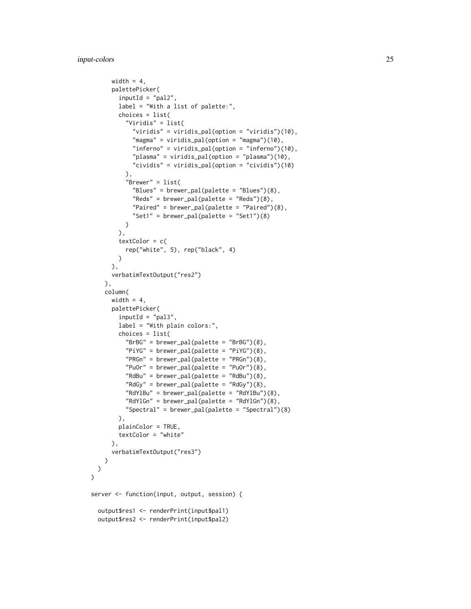```
width = 4,
      palettePicker(
        inputId = "pal2",label = "With a list of palette:",
        choices = list(
          "Viridis" = list(
            "viridis" = viridis_pal(option = "viridis")(10),
            "magma" = viridis_pal(option = "magma")(10),
            "inferno" = viridis_pal(option = "inferno")(10),
            "plasma" = viridis_pal(option = "plasma")(10),
            "cividis" = viridis_pal(option = "cividis")(10)
          ),
          "Brewer" = list(
            "Blues" = brewer_pal(palette = "Blues")(8),
            "Reds" = brewer_pal(palette = "Reds")(8),
            "Paired" = brewer_pal(palette = "Paired")(8),
            "Set1" = brewer_pal(palette = "Set1")(8)
         )
        ),
        textColor = c(
         rep("white", 5), rep("black", 4)
        \lambda),
      verbatimTextOutput("res2")
    ),
    column(
      width = 4,
      palettePicker(
        inputId = "palg",label = "With plain colors:",
        choices = list(
          "BrBG" = brewer_pal(palette = "BrBG")(8),
          "PiYG" = brewer_pal(palette = "PiYG")(8),
          "PRGn" = brewer_pal(palette = "PRGn")(8),
          "Pu0r" = brewerpal(palette = "Pu0r")(8),
          "RdBu" = brewer_pal(palette = "RdBu")(8),"RdGy" = brewer_pal(palette = "RdGy")(8),
          "RdYlBu" = brewer_pal(palette = "RdYlBu")(8),
          "RdYlGn" = brewer_pal(palette = "RdYlGn")(8),
          "Spectral" = brewer_pal(palette = "Spectral")(8)
        ),
        plainColor = TRUE,
        textColor = "white"
      ),
      verbatimTextOutput("res3")
   \lambda)
\lambdaserver <- function(input, output, session) {
  output$res1 <- renderPrint(input$pal1)
  output$res2 <- renderPrint(input$pal2)
```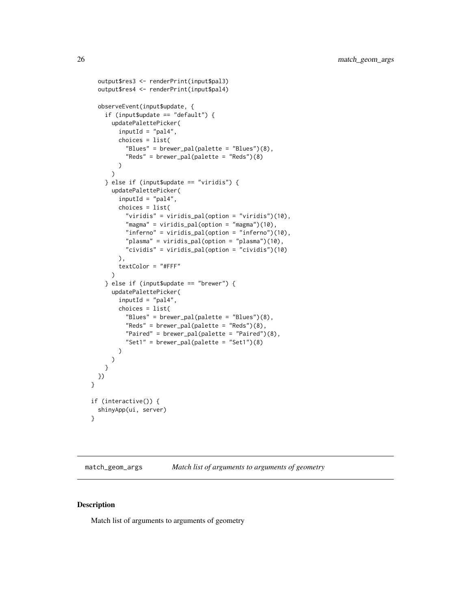```
output$res3 <- renderPrint(input$pal3)
 output$res4 <- renderPrint(input$pal4)
 observeEvent(input$update, {
    if (input$update == "default") {
     updatePalettePicker(
       inputId = "pal4",choices = list(
          "Blues" = brewer_pal(palette = "Blues")(8),
          "Reds" = brewer_pal(palette = "Reds")(8)
       )
     )
    } else if (input$update == "viridis") {
     updatePalettePicker(
       inputId = "pal4",choices = list(
          "viridis" = viridis_pal(option = "viridis")(10),
          "magma" = viridis_pal(option = "magma")(10),
          "inferno" = viridis_pal(option = "inferno")(10),
         "plasma" = viridis_pal(option = "plasma")(10),
         "cividis" = viridis_pal(option = "cividis")(10)
       ),
       textColor = "#FFF"
     )
    } else if (input$update == "brewer") {
     updatePalettePicker(
       inputId = "pal4",choices = list(
          "Blues" = brewer_pal(palette = "Blues")(8),
          "Reds" = brewer_pal(palette = "Reds")(8),
          "Paired" = brewer_pal(palette = "Paired")(8),
          "Set1" = brewer_pal(palette = "Set1")(8)
       )
     )
   }
 })
}
if (interactive()) {
 shinyApp(ui, server)
}
```
match\_geom\_args *Match list of arguments to arguments of geometry*

#### Description

Match list of arguments to arguments of geometry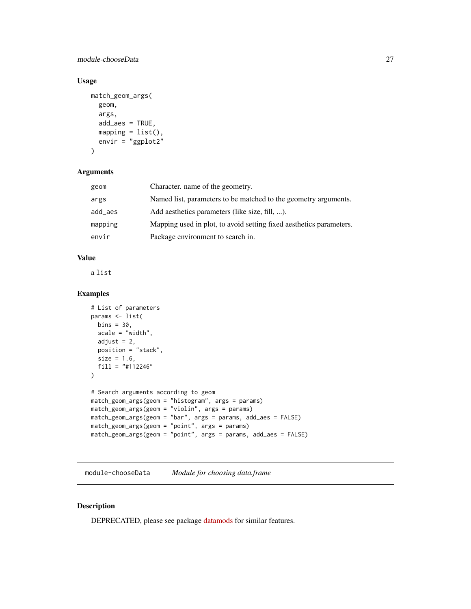<span id="page-26-0"></span>module-chooseData 27

#### Usage

```
match_geom_args(
  geom,
  args,
  add_aes = TRUE,
 mapping = list(),
 envir = "ggplot2"
)
```
#### Arguments

| geom    | Character, name of the geometry.                                    |
|---------|---------------------------------------------------------------------|
| args    | Named list, parameters to be matched to the geometry arguments.     |
| add_aes | Add aesthetics parameters (like size, fill, ).                      |
| mapping | Mapping used in plot, to avoid setting fixed aesthetics parameters. |
| envir   | Package environment to search in.                                   |
|         |                                                                     |

#### Value

a list

#### Examples

```
# List of parameters
params <- list(
 bins = 30,
  scale = "width",
  adjust = 2,
 position = "stack",
  size = 1.6,
  fill = "#112246"
)
# Search arguments according to geom
match_geom_args(geom = "histogram", args = params)
match_geom_args(geom = "violin", args = params)
match_geom_args(geom = "bar", args = params, add_aes = FALSE)
match_geom_args(geom = "point", args = params)
match_geom_args(geom = "point", args = params, add_aes = FALSE)
```
module-chooseData *Module for choosing data.frame*

#### Description

DEPRECATED, please see package [datamods](https://github.com/dreamRs/datamods) for similar features.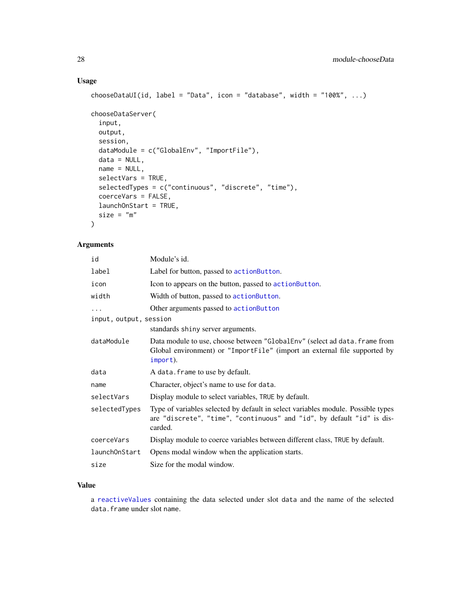#### Usage

```
chooseDataUI(id, label = "Data", icon = "database", width = "100%", ...)
chooseDataServer(
  input,
 output,
  session,
  dataModule = c("GlobalEnv", "ImportFile"),
  data = NULL,name = NULL,selectVars = TRUE,
  selectedTypes = c("continuous", "discrete", "time"),
  coerceVars = FALSE,
 launchOnStart = TRUE,
  size = "m"\mathcal{L}
```
#### Arguments

| id                     | Module's id.                                                                                                                                                          |
|------------------------|-----------------------------------------------------------------------------------------------------------------------------------------------------------------------|
| label                  | Label for button, passed to actionButton.                                                                                                                             |
| icon                   | Icon to appears on the button, passed to action Button.                                                                                                               |
| width                  | Width of button, passed to actionButton.                                                                                                                              |
| $\cdots$               | Other arguments passed to actionButton                                                                                                                                |
| input, output, session |                                                                                                                                                                       |
|                        | standards shiny server arguments.                                                                                                                                     |
| dataModule             | Data module to use, choose between "GlobalEnv" (select ad data. frame from<br>Global environment) or "ImportFile" (import an external file supported by<br>import).   |
| data                   | A data. frame to use by default.                                                                                                                                      |
| name                   | Character, object's name to use for data.                                                                                                                             |
| selectVars             | Display module to select variables, TRUE by default.                                                                                                                  |
| selectedTypes          | Type of variables selected by default in select variables module. Possible types<br>are "discrete", "time", "continuous" and "id", by default "id" is dis-<br>carded. |
| coerceVars             | Display module to coerce variables between different class, TRUE by default.                                                                                          |
| launchOnStart          | Opens modal window when the application starts.                                                                                                                       |
| size                   | Size for the modal window.                                                                                                                                            |

#### Value

a [reactiveValues](#page-0-0) containing the data selected under slot data and the name of the selected data.frame under slot name.

<span id="page-27-0"></span>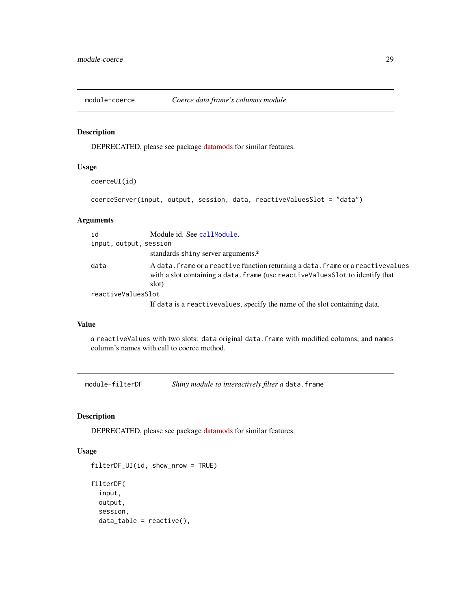<span id="page-28-0"></span>

#### Description

DEPRECATED, please see package [datamods](https://github.com/dreamRs/datamods) for similar features.

#### Usage

```
coerceUI(id)
```

```
coerceServer(input, output, session, data, reactiveValuesSlot = "data")
```
#### Arguments

| id                     | Module id. See callModule.                                                                                                                                                   |
|------------------------|------------------------------------------------------------------------------------------------------------------------------------------------------------------------------|
| input, output, session |                                                                                                                                                                              |
|                        | standards shiny server arguments. <sup>2</sup>                                                                                                                               |
| data                   | A data. frame or a reactive function returning a data. frame or a reactivevalues<br>with a slot containing a data. frame (use reactive Values Slot to identify that<br>slot) |
| reactiveValuesSlot     |                                                                                                                                                                              |
|                        | If data is a reactive values, specify the name of the slot containing data.                                                                                                  |

#### Value

a reactiveValues with two slots: data original data.frame with modified columns, and names column's names with call to coerce method.

module-filterDF *Shiny module to interactively filter a* data.frame

#### **Description**

DEPRECATED, please see package [datamods](https://github.com/dreamRs/datamods) for similar features.

```
filterDF_UI(id, show_nrow = TRUE)
filterDF(
  input,
 output,
  session,
 data_table = reactive(),
```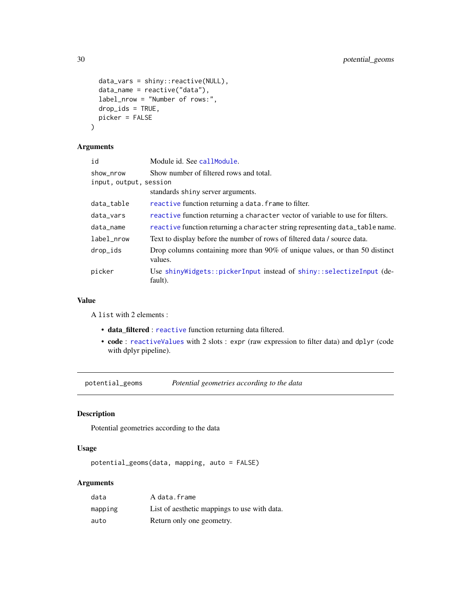```
data_vars = shiny::reactive(NULL),
 data_name = reactive("data"),
  label_nrow = "Number of rows:",
 drop_ids = TRUE,
 picker = FALSE
\mathcal{L}
```
#### Arguments

| id                     | Module id. See callModule.                                                             |
|------------------------|----------------------------------------------------------------------------------------|
| show_nrow              | Show number of filtered rows and total.                                                |
| input, output, session |                                                                                        |
|                        | standards shiny server arguments.                                                      |
| data_table             | reactive function returning a data. Frame to filter.                                   |
| data_vars              | reactive function returning a character vector of variable to use for filters.         |
| data_name              | reactive function returning a character string representing data_table name.           |
| label nrow             | Text to display before the number of rows of filtered data / source data.              |
| drop_ids               | Drop columns containing more than 90% of unique values, or than 50 distinct<br>values. |
| picker                 | Use shinyWidgets::pickerInput instead of shiny::selectizeInput (de-<br>fault).         |

#### Value

A list with 2 elements :

- data\_filtered : [reactive](#page-0-0) function returning data filtered.
- code : [reactiveValues](#page-0-0) with 2 slots : expr (raw expression to filter data) and dplyr (code with dplyr pipeline).

potential\_geoms *Potential geometries according to the data*

#### Description

Potential geometries according to the data

#### Usage

```
potential_geoms(data, mapping, auto = FALSE)
```
#### Arguments

| data    | A data.frame                                 |
|---------|----------------------------------------------|
| mapping | List of aesthetic mappings to use with data. |
| auto    | Return only one geometry.                    |

<span id="page-29-0"></span>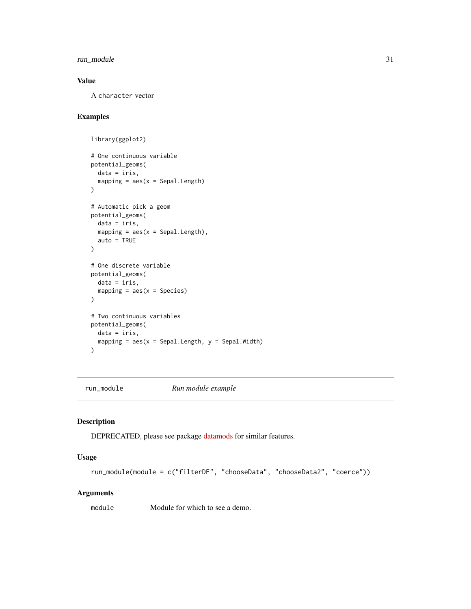<span id="page-30-0"></span>run\_module 31

#### Value

A character vector

#### Examples

```
library(ggplot2)
# One continuous variable
potential_geoms(
  data = iris,
  mapping = aes(x = Sepal.length))
# Automatic pick a geom
potential_geoms(
  data = iris,
  mapping = aes(x = Sepal.length),
  auto = TRUE
)
# One discrete variable
potential_geoms(
  data = iris,
  mapping = \text{aes}(x = \text{Species})\mathcal{L}# Two continuous variables
potential_geoms(
  data = iris,
  mapping = aes(x = Sepal.length, y = Sepal.Width)\mathcal{L}
```
run\_module *Run module example*

#### Description

DEPRECATED, please see package [datamods](https://github.com/dreamRs/datamods) for similar features.

#### Usage

```
run_module(module = c("filterDF", "chooseData", "chooseData2", "coerce"))
```
#### Arguments

module Module for which to see a demo.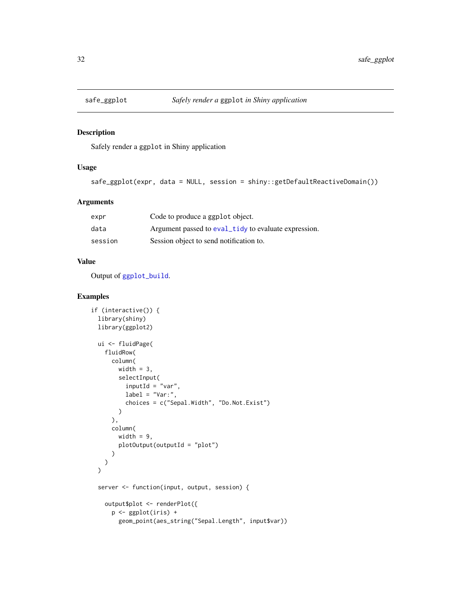<span id="page-31-0"></span>

#### Description

Safely render a ggplot in Shiny application

#### Usage

```
safe_ggplot(expr, data = NULL, session = shiny::getDefaultReactiveDomain())
```
#### Arguments

| expr    | Code to produce a ggplot object.                     |
|---------|------------------------------------------------------|
| data    | Argument passed to eval_tidy to evaluate expression. |
| session | Session object to send notification to.              |

#### Value

Output of [ggplot\\_build](#page-0-0).

```
if (interactive()) {
 library(shiny)
 library(ggplot2)
 ui <- fluidPage(
    fluidRow(
      column(
        width = 3,
        selectInput(
          inputId = "var",label = "Var:",
          choices = c("Sepal.Width", "Do.Not.Exist")
        )
      ),
      column(
        width = 9,
        plotOutput(outputId = "plot")
      )
   )
 \overline{)}server <- function(input, output, session) {
   output$plot <- renderPlot({
      p <- ggplot(iris) +
        geom_point(aes_string("Sepal.Length", input$var))
```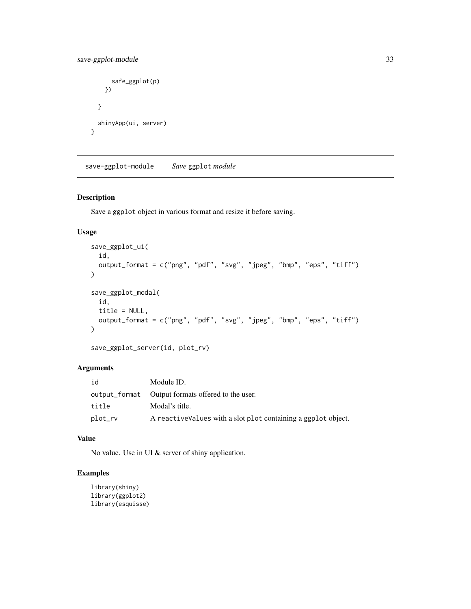#### <span id="page-32-0"></span>save-ggplot-module 33

```
safe_ggplot(p)
   })
 }
 shinyApp(ui, server)
}
```
save-ggplot-module *Save* ggplot *module*

#### Description

Save a ggplot object in various format and resize it before saving.

#### Usage

```
save_ggplot_ui(
 id,
 output_format = c("png", "pdf", "svg", "jpeg", "bmp", "eps", "tiff")
\lambdasave_ggplot_modal(
  id,
 title = NULL,
 output_format = c("png", "pdf", "svg", "jpeg", "bmp", "eps", "tiff")
\mathcal{L}
```

```
save_ggplot_server(id, plot_rv)
```
#### Arguments

| id      | Module ID.                                                     |
|---------|----------------------------------------------------------------|
|         |                                                                |
| title   | Modal's title.                                                 |
| plot_rv | A reactive Values with a slot plot containing a ggplot object. |

#### Value

No value. Use in UI & server of shiny application.

```
library(shiny)
library(ggplot2)
library(esquisse)
```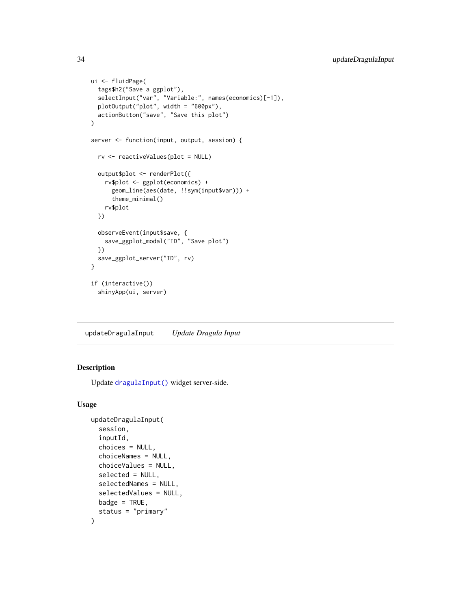```
ui <- fluidPage(
  tags$h2("Save a ggplot"),
  selectInput("var", "Variable:", names(economics)[-1]),
  plotOutput("plot", width = "600px"),
  actionButton("save", "Save this plot")
)
server <- function(input, output, session) {
  rv <- reactiveValues(plot = NULL)
  output$plot <- renderPlot({
   rv$plot <- ggplot(economics) +
      geom_line(aes(date, !!sym(input$var))) +
      theme_minimal()
   rv$plot
  })
  observeEvent(input$save, {
    save_ggplot_modal("ID", "Save plot")
  })
  save_ggplot_server("ID", rv)
}
if (interactive())
  shinyApp(ui, server)
```
<span id="page-33-1"></span>updateDragulaInput *Update Dragula Input*

#### Description

Update [dragulaInput\(\)](#page-2-1) widget server-side.

```
updateDragulaInput(
  session,
  inputId,
  choices = NULL,
  choiceNames = NULL,
  choiceValues = NULL,
  selected = NULL,
  selectedNames = NULL,
  selectedValues = NULL,
 badge = TRUE,
  status = "primary"
)
```
<span id="page-33-0"></span>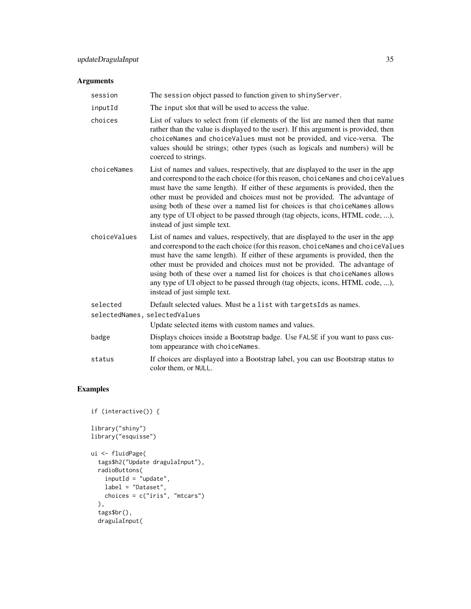#### Arguments

| session                       | The session object passed to function given to shinyServer.                                                                                                                                                                                                                                                                                                                                                                                                                                                                           |
|-------------------------------|---------------------------------------------------------------------------------------------------------------------------------------------------------------------------------------------------------------------------------------------------------------------------------------------------------------------------------------------------------------------------------------------------------------------------------------------------------------------------------------------------------------------------------------|
| inputId                       | The input slot that will be used to access the value.                                                                                                                                                                                                                                                                                                                                                                                                                                                                                 |
| choices                       | List of values to select from (if elements of the list are named then that name<br>rather than the value is displayed to the user). If this argument is provided, then<br>choiceNames and choiceValues must not be provided, and vice-versa. The<br>values should be strings; other types (such as logicals and numbers) will be<br>coerced to strings.                                                                                                                                                                               |
| choiceNames                   | List of names and values, respectively, that are displayed to the user in the app<br>and correspond to the each choice (for this reason, choiceNames and choiceValues<br>must have the same length). If either of these arguments is provided, then the<br>other must be provided and choices must not be provided. The advantage of<br>using both of these over a named list for choices is that choiceNames allows<br>any type of UI object to be passed through (tag objects, icons, HTML code, ),<br>instead of just simple text. |
| choiceValues                  | List of names and values, respectively, that are displayed to the user in the app<br>and correspond to the each choice (for this reason, choiceNames and choiceValues<br>must have the same length). If either of these arguments is provided, then the<br>other must be provided and choices must not be provided. The advantage of<br>using both of these over a named list for choices is that choiceNames allows<br>any type of UI object to be passed through (tag objects, icons, HTML code, ),<br>instead of just simple text. |
| selected                      | Default selected values. Must be a list with targetsIds as names.                                                                                                                                                                                                                                                                                                                                                                                                                                                                     |
| selectedNames, selectedValues |                                                                                                                                                                                                                                                                                                                                                                                                                                                                                                                                       |
|                               | Update selected items with custom names and values.                                                                                                                                                                                                                                                                                                                                                                                                                                                                                   |
| badge                         | Displays choices inside a Bootstrap badge. Use FALSE if you want to pass cus-<br>tom appearance with choiceNames.                                                                                                                                                                                                                                                                                                                                                                                                                     |
| status                        | If choices are displayed into a Bootstrap label, you can use Bootstrap status to<br>color them, or NULL.                                                                                                                                                                                                                                                                                                                                                                                                                              |

```
if (interactive()) {
library("shiny")
library("esquisse")
ui <- fluidPage(
  tags$h2("Update dragulaInput"),
  radioButtons(
    inputId = \nmid \text{update",}label = "Dataset",
     choices = c("iris", "mtcars")
  ),
  tags$br(),
  dragulaInput(
```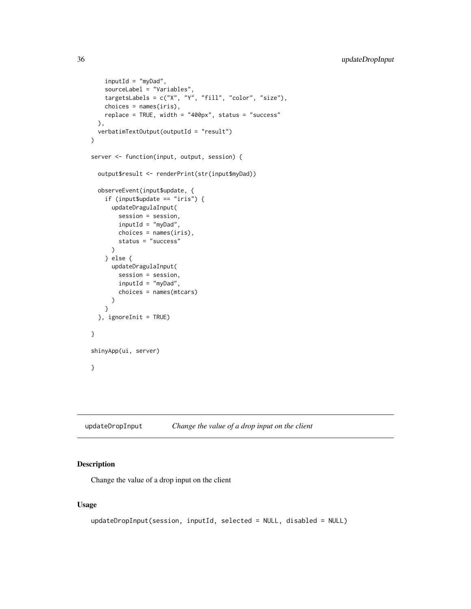```
inputId = "myDad",sourceLabel = "Variables",
   targetsLabels = c("X", "Y", "fill", "color", "size"),
   choices = names(iris),
   replace = TRUE, width = "400px", status = "success"
 ),
 verbatimTextOutput(outputId = "result")
)
server <- function(input, output, session) {
 output$result <- renderPrint(str(input$myDad))
 observeEvent(input$update, {
   if (input$update == "iris") {
     updateDragulaInput(
       session = session,
       inputId = "myDad",
       choices = names(iris),
       status = "success"
     )
   } else {
     updateDragulaInput(
       session = session,
       inputId = "myDad",
       choices = names(mtcars)
     )
   }
 }, ignoreInit = TRUE)
}
shinyApp(ui, server)
}
```
<span id="page-35-1"></span>updateDropInput *Change the value of a drop input on the client*

#### Description

Change the value of a drop input on the client

```
updateDropInput(session, inputId, selected = NULL, disabled = NULL)
```
<span id="page-35-0"></span>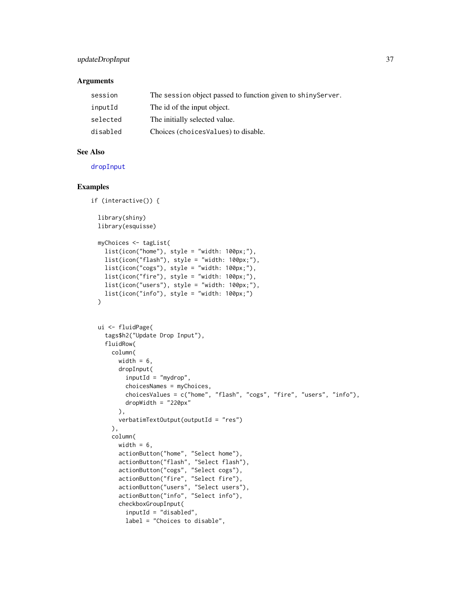#### <span id="page-36-0"></span>updateDropInput 37

#### Arguments

| session  | The session object passed to function given to shiny Server. |
|----------|--------------------------------------------------------------|
| inputId  | The id of the input object.                                  |
| selected | The initially selected value.                                |
| disabled | Choices (choices Values) to disable.                         |

#### See Also

#### [dropInput](#page-5-1)

```
if (interactive()) {
 library(shiny)
 library(esquisse)
 myChoices <- tagList(
    list(icon("home"), style = "width: 100px;"),
    list(icon("flash"), style = "width: 100px;"),
   list(icon("cogs"), style = "width: 100px;"),
   list(icon("fire"), style = "width: 100px;"),
   list(icon("users"), style = "width: 100px;"),
   list(icon("info"), style = "width: 100px;")
 \lambdaui <- fluidPage(
   tags$h2("Update Drop Input"),
   fluidRow(
     column(
       width = 6,
       dropInput(
          inputId = "mydrop",choicesNames = myChoices,
         choicesValues = c("home", "flash", "cogs", "fire", "users", "info"),
         dropWidth = "220px"
       ),
       verbatimTextOutput(outputId = "res")
     ),
     column(
       width = 6,
       actionButton("home", "Select home"),
        actionButton("flash", "Select flash"),
        actionButton("cogs", "Select cogs"),
        actionButton("fire", "Select fire"),
        actionButton("users", "Select users"),
        actionButton("info", "Select info"),
       checkboxGroupInput(
         inputId = "disabled",
         label = "Choices to disable",
```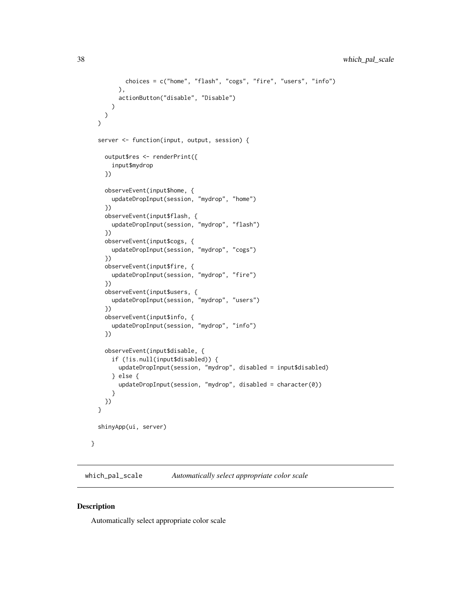```
choices = c("home", "flash", "cogs", "fire", "users", "info")
      ),
      actionButton("disable", "Disable")
   )
 )
\mathcal{L}server <- function(input, output, session) {
  output$res <- renderPrint({
    input$mydrop
  })
  observeEvent(input$home, {
    updateDropInput(session, "mydrop", "home")
  })
  observeEvent(input$flash, {
    updateDropInput(session, "mydrop", "flash")
  })
  observeEvent(input$cogs, {
    updateDropInput(session, "mydrop", "cogs")
  })
  observeEvent(input$fire, {
    updateDropInput(session, "mydrop", "fire")
  })
  observeEvent(input$users, {
    updateDropInput(session, "mydrop", "users")
  })
  observeEvent(input$info, {
    updateDropInput(session, "mydrop", "info")
  })
  observeEvent(input$disable, {
    if (!is.null(input$disabled)) {
      updateDropInput(session, "mydrop", disabled = input$disabled)
    } else {
      updateDropInput(session, "mydrop", disabled = character(0))
    }
 })
}
shinyApp(ui, server)
```
which\_pal\_scale *Automatically select appropriate color scale*

#### Description

}

Automatically select appropriate color scale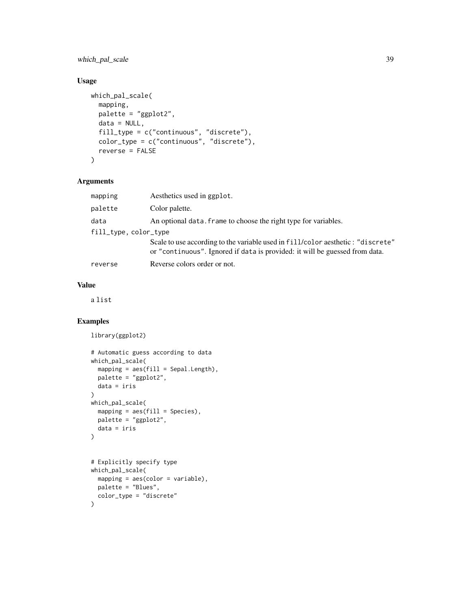which\_pal\_scale 39

#### Usage

```
which_pal_scale(
  mapping,
 palette = "ggplot2",
 data = NULL,fill_type = c("continuous", "discrete"),
 color_type = c("continuous", "discrete"),
 reverse = FALSE
\mathcal{L}
```
#### Arguments

| mapping               | Aesthetics used in ggplot.                                                                                                                                      |
|-----------------------|-----------------------------------------------------------------------------------------------------------------------------------------------------------------|
| palette               | Color palette.                                                                                                                                                  |
| data                  | An optional data. frame to choose the right type for variables.                                                                                                 |
| fill_type, color_type |                                                                                                                                                                 |
|                       | Scale to use according to the variable used in fill/color aesthetic : "discrete"<br>or "continuous". Ignored if data is provided: it will be guessed from data. |
| reverse               | Reverse colors order or not.                                                                                                                                    |

#### Value

a list

```
library(ggplot2)
```

```
# Automatic guess according to data
which_pal_scale(
  mapping = aes(fill = Sepal.length),
  palette = "ggplot2",
 data = iris
)
which_pal_scale(
 mapping = aes(fill = Species),
 palette = "ggplot2",
 data = iris
)
# Explicitly specify type
which_pal_scale(
 mapping = aes(color = variable),
 palette = "Blues",
 color_type = "discrete"
\mathcal{L}
```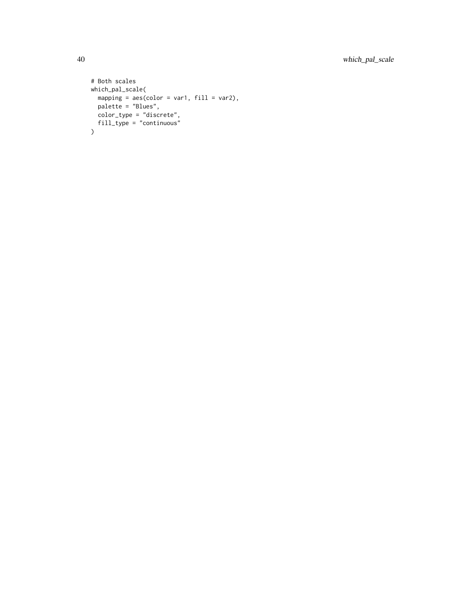```
# Both scales
which_pal_scale(
 mapping = aes(color = var1, fill = var2),
 palette = "Blues",
 color_type = "discrete",
 fill_type = "continuous"
\overline{)}
```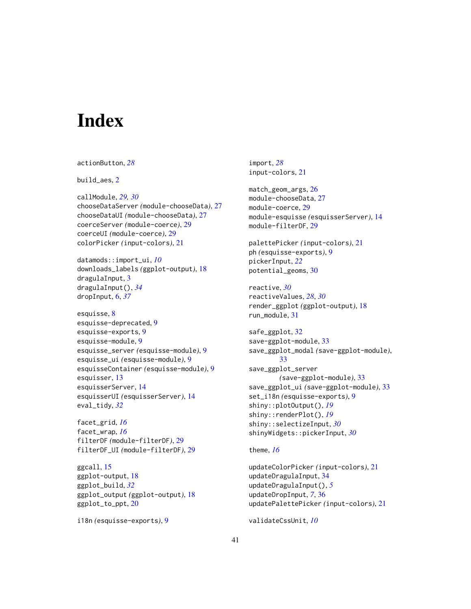# <span id="page-40-0"></span>**Index**

```
actionButton, 28
build_aes, 2
callModule, 29, 30
chooseDataServer (module-chooseData), 27
chooseDataUI (module-chooseData), 27
coerceServer (module-coerce), 29
coerceUI (module-coerce), 29
colorPicker (input-colors), 21
datamods::import_ui, 10
downloads_labels (ggplot-output), 18
dragulaInput, 3
dragulaInput(), 34
dropInput, 6, 37
esquisse, 8
esquisse-deprecated, 9
esquisse-exports, 9
esquisse-module, 9
esquisse_server (esquisse-module), 9
esquisse_ui (esquisse-module), 9
esquisseContainer (esquisse-module), 9
esquisser, 13
esquisserServer, 14
esquisserUI (esquisserServer), 14
eval_tidy, 32
facet_grid, 16
facet_wrap, 16
filterDF (module-filterDF), 29
filterDF_UI (module-filterDF), 29
ggcall, 15
ggplot-output, 18
ggplot_build, 32
ggplot_output (ggplot-output), 18
ggplot_to_ppt, 20
```

```
i18n (esquisse-exports), 9
```
import, *[28](#page-27-0)* input-colors, [21](#page-20-0) match\_geom\_args, [26](#page-25-0) module-chooseData, [27](#page-26-0) module-coerce, [29](#page-28-0) module-esquisse *(*esquisserServer*)*, [14](#page-13-0) module-filterDF, [29](#page-28-0) palettePicker *(*input-colors*)*, [21](#page-20-0) ph *(*esquisse-exports*)*, [9](#page-8-0) pickerInput, *[22](#page-21-0)* potential\_geoms, [30](#page-29-0) reactive, *[30](#page-29-0)* reactiveValues, *[28](#page-27-0)*, *[30](#page-29-0)* render\_ggplot *(*ggplot-output*)*, [18](#page-17-0) run\_module, [31](#page-30-0) safe\_ggplot, [32](#page-31-0) save-ggplot-module, [33](#page-32-0) save\_ggplot\_modal *(*save-ggplot-module*)*, [33](#page-32-0) save\_ggplot\_server *(*save-ggplot-module*)*, [33](#page-32-0) save\_ggplot\_ui *(*save-ggplot-module*)*, [33](#page-32-0) set\_i18n *(*esquisse-exports*)*, [9](#page-8-0) shiny::plotOutput(), *[19](#page-18-0)* shiny::renderPlot(), *[19](#page-18-0)* shiny::selectizeInput, *[30](#page-29-0)* shinyWidgets::pickerInput, *[30](#page-29-0)* theme, *[16](#page-15-0)*

updateColorPicker *(*input-colors*)*, [21](#page-20-0) updateDragulaInput, [34](#page-33-0) updateDragulaInput(), *[5](#page-4-0)* updateDropInput, *[7](#page-6-0)*, [36](#page-35-0) updatePalettePicker *(*input-colors*)*, [21](#page-20-0)

validateCssUnit, *[10](#page-9-0)*